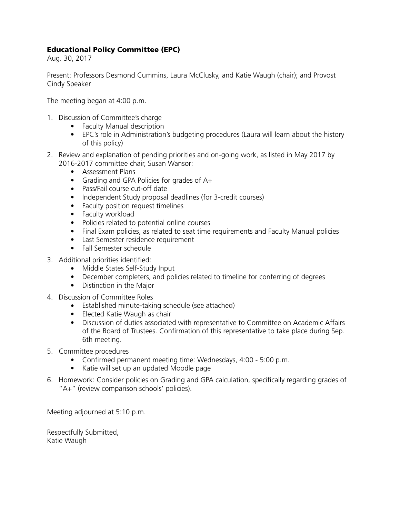## Educational Policy Committee (EPC)

Aug. 30, 2017

Present: Professors Desmond Cummins, Laura McClusky, and Katie Waugh (chair); and Provost Cindy Speaker

The meeting began at 4:00 p.m.

- 1. Discussion of Committee's charge
	- Faculty Manual description
	- EPC's role in Administration's budgeting procedures (Laura will learn about the history of this policy)
- 2. Review and explanation of pending priorities and on-going work, as listed in May 2017 by 2016-2017 committee chair, Susan Wansor:
	- Assessment Plans
	- Grading and GPA Policies for grades of A+
	- Pass/Fail course cut-off date
	- Independent Study proposal deadlines (for 3-credit courses)
	- Faculty position request timelines
	- Faculty workload
	- Policies related to potential online courses
	- Final Exam policies, as related to seat time requirements and Faculty Manual policies
	- Last Semester residence requirement
	- Fall Semester schedule
- 3. Additional priorities identified:
	- Middle States Self-Study Input
	- December completers, and policies related to timeline for conferring of degrees
	- Distinction in the Major
- 4. Discussion of Committee Roles
	- Established minute-taking schedule (see attached)
	- Elected Katie Waugh as chair
	- Discussion of duties associated with representative to Committee on Academic Affairs of the Board of Trustees. Confirmation of this representative to take place during Sep. 6th meeting.
- 5. Committee procedures
	- Confirmed permanent meeting time: Wednesdays, 4:00 5:00 p.m.
	- Katie will set up an updated Moodle page
- 6. Homework: Consider policies on Grading and GPA calculation, specifically regarding grades of "A+" (review comparison schools' policies).

Meeting adjourned at 5:10 p.m.

Respectfully Submitted, Katie Waugh